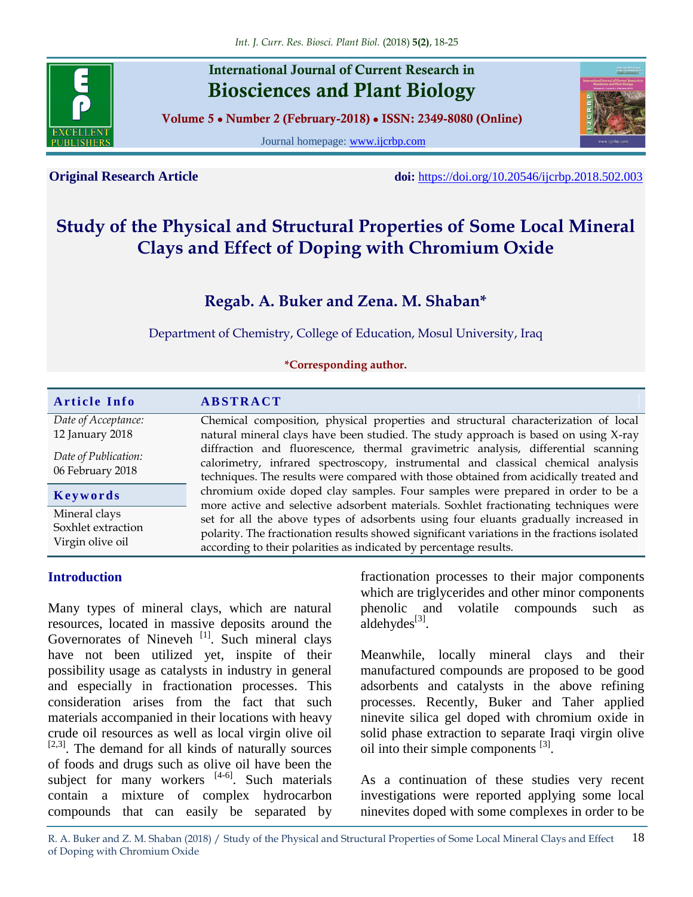

# **International Journal of Current Research in Biosciences and Plant Biology**

**Volume 5 ● Number 2 (February-2018) ● ISSN: 2349-8080 (Online)**

Journal homepage: [www.ijcrbp.com](http://www.ijcrbp.com/)



**Original Research Article doi:** <https://doi.org/10.20546/ijcrbp.2018.502.003>

# **Study of the Physical and Structural Properties of Some Local Mineral Clays and Effect of Doping with Chromium Oxide**

# **Regab. A. Buker and Zena. M. Shaban\***

Department of Chemistry, College of Education, Mosul University, Iraq

#### **\*Corresponding author.**

|                                                         | <b>ABSTRACT</b>                                                                                                                                                                                                                                                |  |  |  |
|---------------------------------------------------------|----------------------------------------------------------------------------------------------------------------------------------------------------------------------------------------------------------------------------------------------------------------|--|--|--|
| Date of Acceptance:<br>12 January 2018                  | Chemical composition, physical properties and structural characterization of local<br>natural mineral clays have been studied. The study approach is based on using X-ray                                                                                      |  |  |  |
| Date of Publication:<br>06 February 2018                | diffraction and fluorescence, thermal gravimetric analysis, differential scanning<br>calorimetry, infrared spectroscopy, instrumental and classical chemical analysis<br>techniques. The results were compared with those obtained from acidically treated and |  |  |  |
| Keywords                                                | chromium oxide doped clay samples. Four samples were prepared in order to be a<br>more active and selective adsorbent materials. Soxhlet fractionating techniques were                                                                                         |  |  |  |
| Mineral clays<br>Soxhlet extraction<br>Virgin olive oil | set for all the above types of adsorbents using four eluants gradually increased in<br>polarity. The fractionation results showed significant variations in the fractions isolated<br>according to their polarities as indicated by percentage results.        |  |  |  |

#### **Introduction**

Many types of mineral clays, which are natural resources, located in massive deposits around the Governorates of Nineveh <sup>[1]</sup>. Such mineral clays have not been utilized yet, inspite of their possibility usage as catalysts in industry in general and especially in fractionation processes. This consideration arises from the fact that such materials accompanied in their locations with heavy crude oil resources as well as local virgin olive oil  $[2,3]$ . The demand for all kinds of naturally sources of foods and drugs such as olive oil have been the subject for many workers  $[4-6]$ . Such materials contain a mixture of complex hydrocarbon compounds that can easily be separated by

fractionation processes to their major components which are triglycerides and other minor components phenolic and volatile compounds such as  $a$ ldehydes<sup>[3]</sup>.

Meanwhile, locally mineral clays and their manufactured compounds are proposed to be good adsorbents and catalysts in the above refining processes. Recently, Buker and Taher applied ninevite silica gel doped with chromium oxide in solid phase extraction to separate Iraqi virgin olive oil into their simple components  $^{[3]}$ .

As a continuation of these studies very recent investigations were reported applying some local ninevites doped with some complexes in order to be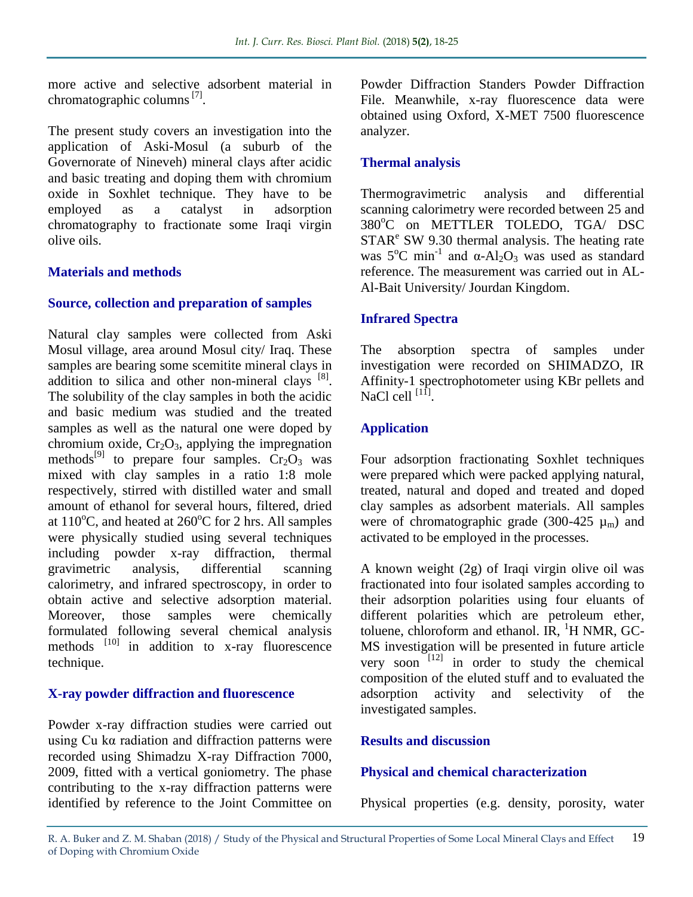more active and selective adsorbent material in chromatographic columns<sup>[7]</sup>.

The present study covers an investigation into the application of Aski-Mosul (a suburb of the Governorate of Nineveh) mineral clays after acidic and basic treating and doping them with chromium oxide in Soxhlet technique. They have to be employed as a catalyst in adsorption chromatography to fractionate some Iraqi virgin olive oils.

#### **Materials and methods**

#### **Source, collection and preparation of samples**

Natural clay samples were collected from Aski Mosul village, area around Mosul city/ Iraq. These samples are bearing some scemitite mineral clays in addition to silica and other non-mineral clays  $[8]$ . The solubility of the clay samples in both the acidic and basic medium was studied and the treated samples as well as the natural one were doped by chromium oxide,  $Cr_2O_3$ , applying the impregnation methods<sup>[9]</sup> to prepare four samples.  $C_2O_3$  was mixed with clay samples in a ratio 1:8 mole respectively, stirred with distilled water and small amount of ethanol for several hours, filtered, dried at  $110^{\circ}$ C, and heated at  $260^{\circ}$ C for 2 hrs. All samples were physically studied using several techniques including powder x-ray diffraction, thermal gravimetric analysis, differential scanning calorimetry, and infrared spectroscopy, in order to obtain active and selective adsorption material. Moreover, those samples were chemically formulated following several chemical analysis methods  $[10]$  in addition to x-ray fluorescence technique.

# **X-ray powder diffraction and fluorescence**

Powder x-ray diffraction studies were carried out using Cu kα radiation and diffraction patterns were recorded using Shimadzu X-ray Diffraction 7000, 2009, fitted with a vertical goniometry. The phase contributing to the x-ray diffraction patterns were identified by reference to the Joint Committee on Powder Diffraction Standers Powder Diffraction File. Meanwhile, x-ray fluorescence data were obtained using Oxford, X-MET 7500 fluorescence analyzer.

# **Thermal analysis**

Thermogravimetric analysis and differential scanning calorimetry were recorded between 25 and 380°C on METTLER TOLEDO, TGA/ DSC  $STAR<sup>e</sup>$  SW 9.30 thermal analysis. The heating rate was  $5^{\circ}$ C min<sup>-1</sup> and α-Al<sub>2</sub>O<sub>3</sub> was used as standard reference. The measurement was carried out in AL-Al-Bait University/ Jourdan Kingdom.

# **Infrared Spectra**

The absorption spectra of samples under investigation were recorded on SHIMADZO, IR Affinity-1 spectrophotometer using KBr pellets and NaCl cell  $^{[11]}$ .

# **Application**

Four adsorption fractionating Soxhlet techniques were prepared which were packed applying natural, treated, natural and doped and treated and doped clay samples as adsorbent materials. All samples were of chromatographic grade (300-425  $\mu_{\rm m}$ ) and activated to be employed in the processes.

A known weight (2g) of Iraqi virgin olive oil was fractionated into four isolated samples according to their adsorption polarities using four eluants of different polarities which are petroleum ether, toluene, chloroform and ethanol. IR,  ${}^{1}H$  NMR, GC-MS investigation will be presented in future article very soon  $\left[12\right]$  in order to study the chemical composition of the eluted stuff and to evaluated the adsorption activity and selectivity of the investigated samples.

# **Results and discussion**

# **Physical and chemical characterization**

Physical properties (e.g. density, porosity, water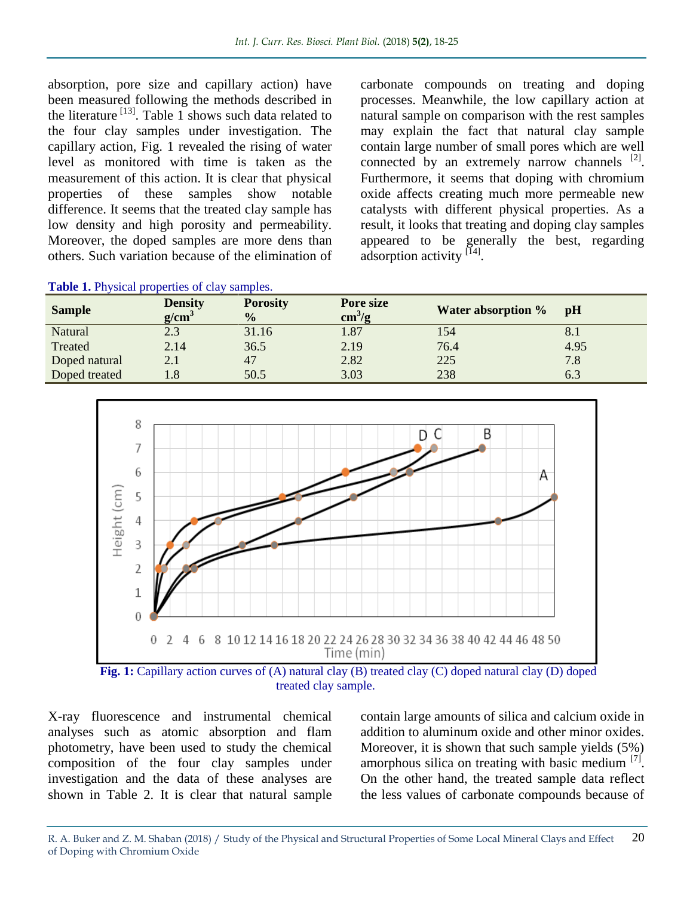absorption, pore size and capillary action) have been measured following the methods described in the literature  $^{[13]}$ . Table 1 shows such data related to the four clay samples under investigation. The capillary action, Fig. 1 revealed the rising of water level as monitored with time is taken as the measurement of this action. It is clear that physical properties of these samples show notable difference. It seems that the treated clay sample has low density and high porosity and permeability. Moreover, the doped samples are more dens than others. Such variation because of the elimination of

carbonate compounds on treating and doping processes. Meanwhile, the low capillary action at natural sample on comparison with the rest samples may explain the fact that natural clay sample contain large number of small pores which are well connected by an extremely narrow channels  $^{[2]}$ . Furthermore, it seems that doping with chromium oxide affects creating much more permeable new catalysts with different physical properties. As a result, it looks that treating and doping clay samples appeared to be generally the best, regarding adsorption activity [14].

| <b>Lable 1.</b> Physical properties of clay samples. |                                 |                                  |                                     |                           |      |  |  |
|------------------------------------------------------|---------------------------------|----------------------------------|-------------------------------------|---------------------------|------|--|--|
| <b>Sample</b>                                        | <b>Density</b><br>$g/cm^3$      | <b>Porosity</b><br>$\frac{0}{0}$ | Pore size<br>$\text{cm}^3/\text{g}$ | <b>Water absorption %</b> | pH   |  |  |
| Natural                                              | 2.3                             | 31.16                            | 1.87                                | 154                       | 8.1  |  |  |
| Treated                                              | 2.14                            | 36.5                             | 2.19                                | 76.4                      | 4.95 |  |  |
| Doped natural                                        | 2.1                             | 47                               | 2.82                                | 225                       | 7.8  |  |  |
| Doped treated                                        | $^{\sf \scriptscriptstyle L.8}$ | 50.5                             | 3.03                                | 238                       | 6.3  |  |  |





treated clay sample.

X-ray fluorescence and instrumental chemical analyses such as atomic absorption and flam photometry, have been used to study the chemical composition of the four clay samples under investigation and the data of these analyses are shown in Table 2. It is clear that natural sample

contain large amounts of silica and calcium oxide in addition to aluminum oxide and other minor oxides. Moreover, it is shown that such sample yields (5%) amorphous silica on treating with basic medium  $[7]$ . On the other hand, the treated sample data reflect the less values of carbonate compounds because of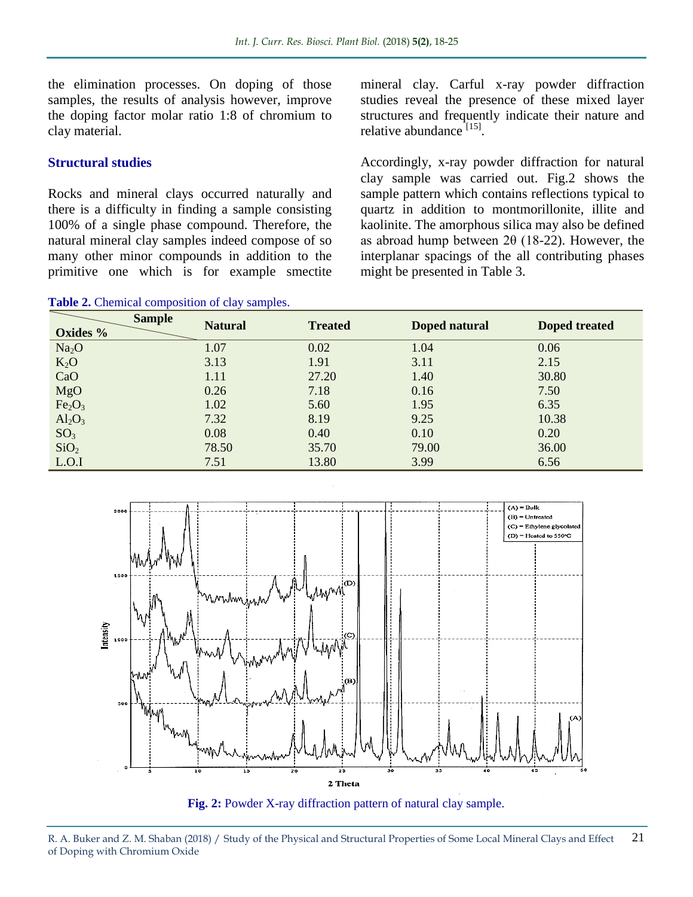the elimination processes. On doping of those samples, the results of analysis however, improve the doping factor molar ratio 1:8 of chromium to clay material.

#### **Structural studies**

Rocks and mineral clays occurred naturally and there is a difficulty in finding a sample consisting 100% of a single phase compound. Therefore, the natural mineral clay samples indeed compose of so many other minor compounds in addition to the primitive one which is for example smectite mineral clay. Carful x-ray powder diffraction studies reveal the presence of these mixed layer structures and frequently indicate their nature and relative abundance<sup>[15]</sup>.

Accordingly, x-ray powder diffraction for natural clay sample was carried out. Fig.2 shows the sample pattern which contains reflections typical to quartz in addition to montmorillonite, illite and kaolinite. The amorphous silica may also be defined as abroad hump between 2θ (18-22). However, the interplanar spacings of the all contributing phases might be presented in Table 3.

| <b>Sample</b><br>Oxides %      | <b>Natural</b> | <b>Treated</b> | Doped natural | Doped treated |
|--------------------------------|----------------|----------------|---------------|---------------|
| Na <sub>2</sub> O              | 1.07           | 0.02           | 1.04          | 0.06          |
| $K_2O$                         | 3.13           | 1.91           | 3.11          | 2.15          |
| CaO                            | 1.11           | 27.20          | 1.40          | 30.80         |
| <b>MgO</b>                     | 0.26           | 7.18           | 0.16          | 7.50          |
| Fe <sub>2</sub> O <sub>3</sub> | 1.02           | 5.60           | 1.95          | 6.35          |
| $Al_2O_3$                      | 7.32           | 8.19           | 9.25          | 10.38         |
| SO <sub>3</sub>                | 0.08           | 0.40           | 0.10          | 0.20          |
| SiO <sub>2</sub>               | 78.50          | 35.70          | 79.00         | 36.00         |
| L.O.I                          | 7.51           | 13.80          | 3.99          | 6.56          |





**Table 2.** Chemical composition of clay samples.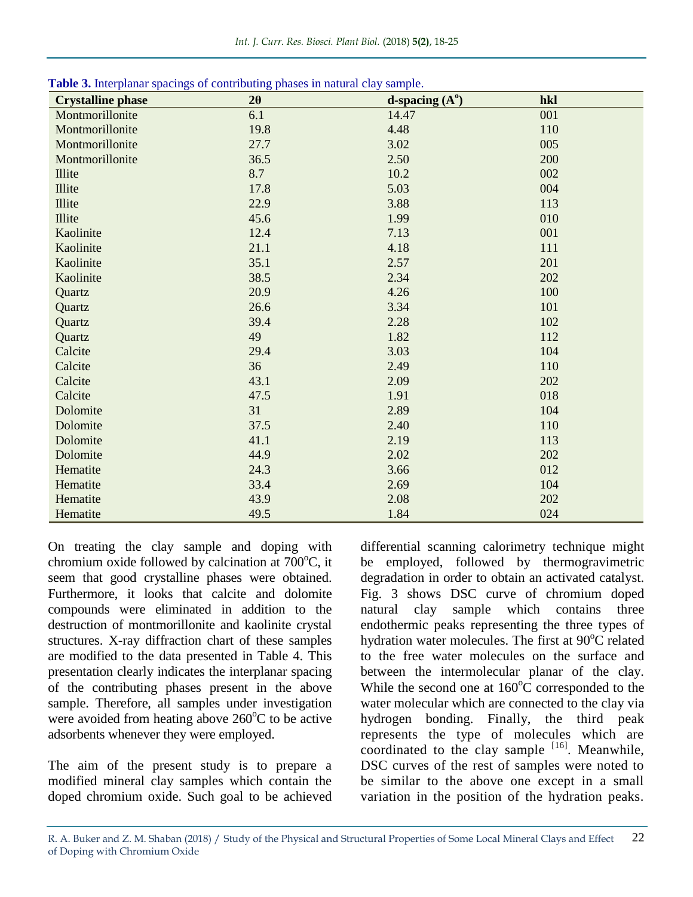| <b>Table 5.</b> Interpratial spacings of contributing phases in haunal clay sample.<br><b>Crystalline phase</b> | $2\theta$ | d-spacing $(A^0)$ | hkl |
|-----------------------------------------------------------------------------------------------------------------|-----------|-------------------|-----|
| Montmorillonite                                                                                                 | 6.1       | 14.47             | 001 |
| Montmorillonite                                                                                                 | 19.8      | 4.48              | 110 |
| Montmorillonite                                                                                                 | 27.7      | 3.02              | 005 |
| Montmorillonite                                                                                                 | 36.5      | 2.50              | 200 |
| Illite                                                                                                          | 8.7       | 10.2              | 002 |
| Illite                                                                                                          | 17.8      | 5.03              | 004 |
| Illite                                                                                                          | 22.9      | 3.88              | 113 |
| Illite                                                                                                          | 45.6      | 1.99              | 010 |
| Kaolinite                                                                                                       | 12.4      | 7.13              | 001 |
| Kaolinite                                                                                                       | 21.1      | 4.18              | 111 |
| Kaolinite                                                                                                       | 35.1      | 2.57              | 201 |
| Kaolinite                                                                                                       | 38.5      | 2.34              | 202 |
| Quartz                                                                                                          | 20.9      | 4.26              | 100 |
| Quartz                                                                                                          | 26.6      | 3.34              | 101 |
| Quartz                                                                                                          | 39.4      | 2.28              | 102 |
| Quartz                                                                                                          | 49        | 1.82              | 112 |
| Calcite                                                                                                         | 29.4      | 3.03              | 104 |
| Calcite                                                                                                         | 36        | 2.49              | 110 |
| Calcite                                                                                                         | 43.1      | 2.09              | 202 |
| Calcite                                                                                                         | 47.5      | 1.91              | 018 |
| Dolomite                                                                                                        | 31        | 2.89              | 104 |
| Dolomite                                                                                                        | 37.5      | 2.40              | 110 |
| Dolomite                                                                                                        | 41.1      | 2.19              | 113 |
| Dolomite                                                                                                        | 44.9      | 2.02              | 202 |
| Hematite                                                                                                        | 24.3      | 3.66              | 012 |
| Hematite                                                                                                        | 33.4      | 2.69              | 104 |
| Hematite                                                                                                        | 43.9      | 2.08              | 202 |
| Hematite                                                                                                        | 49.5      | 1.84              | 024 |

**Table 3.** Interplanar spacings of contributing phases in natural clay sample.

On treating the clay sample and doping with chromium oxide followed by calcination at  $700^{\circ}$ C, it seem that good crystalline phases were obtained. Furthermore, it looks that calcite and dolomite compounds were eliminated in addition to the destruction of montmorillonite and kaolinite crystal structures. X-ray diffraction chart of these samples are modified to the data presented in Table 4. This presentation clearly indicates the interplanar spacing of the contributing phases present in the above sample. Therefore, all samples under investigation were avoided from heating above  $260^{\circ}$ C to be active adsorbents whenever they were employed.

The aim of the present study is to prepare a modified mineral clay samples which contain the doped chromium oxide. Such goal to be achieved

differential scanning calorimetry technique might be employed, followed by thermogravimetric degradation in order to obtain an activated catalyst. Fig. 3 shows DSC curve of chromium doped natural clay sample which contains three endothermic peaks representing the three types of hydration water molecules. The first at  $90^{\circ}$ C related to the free water molecules on the surface and between the intermolecular planar of the clay. While the second one at  $160^{\circ}$ C corresponded to the water molecular which are connected to the clay via hydrogen bonding. Finally, the third peak represents the type of molecules which are coordinated to the clay sample  $[16]$ . Meanwhile, DSC curves of the rest of samples were noted to be similar to the above one except in a small variation in the position of the hydration peaks.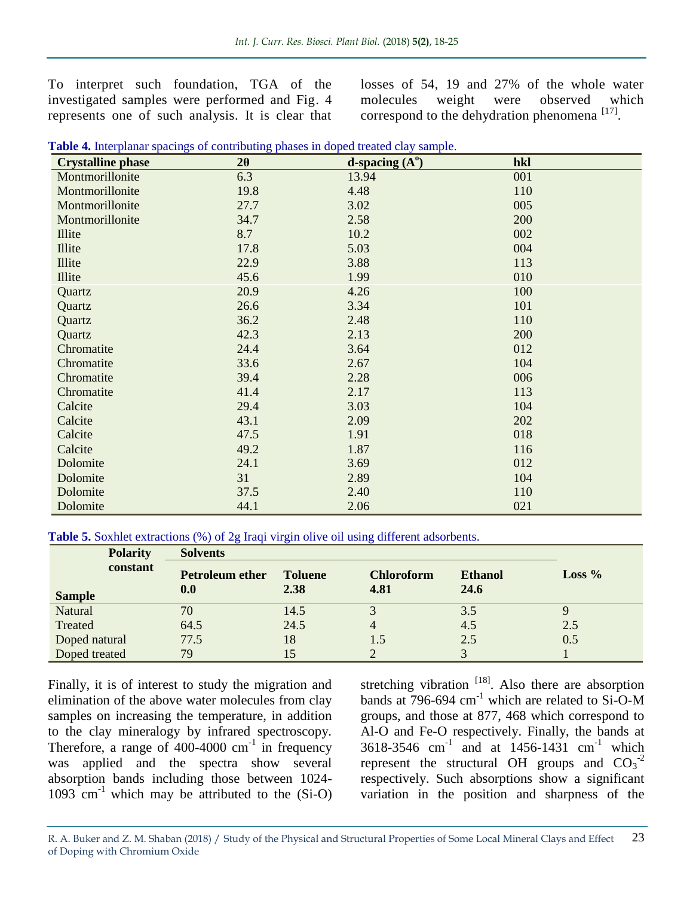To interpret such foundation, TGA of the investigated samples were performed and Fig. 4 represents one of such analysis. It is clear that losses of 54, 19 and 27% of the whole water molecules weight were observed which correspond to the dehydration phenomena<sup>[17]</sup>.

| <b>Crystalline phase</b> | $2\theta$ | d-spacing $(A^0)$ | hkl |
|--------------------------|-----------|-------------------|-----|
| Montmorillonite          | 6.3       | 13.94             | 001 |
| Montmorillonite          | 19.8      | 4.48              | 110 |
| Montmorillonite          | 27.7      | 3.02              | 005 |
| Montmorillonite          | 34.7      | 2.58              | 200 |
| Illite                   | 8.7       | 10.2              | 002 |
| <b>Illite</b>            | 17.8      | 5.03              | 004 |
| Illite                   | 22.9      | 3.88              | 113 |
| Illite                   | 45.6      | 1.99              | 010 |
| Quartz                   | 20.9      | 4.26              | 100 |
| Quartz                   | 26.6      | 3.34              | 101 |
| Quartz                   | 36.2      | 2.48              | 110 |
| Quartz                   | 42.3      | 2.13              | 200 |
| Chromatite               | 24.4      | 3.64              | 012 |
| Chromatite               | 33.6      | 2.67              | 104 |
| Chromatite               | 39.4      | 2.28              | 006 |
| Chromatite               | 41.4      | 2.17              | 113 |
| Calcite                  | 29.4      | 3.03              | 104 |
| Calcite                  | 43.1      | 2.09              | 202 |
| Calcite                  | 47.5      | 1.91              | 018 |
| Calcite                  | 49.2      | 1.87              | 116 |
| Dolomite                 | 24.1      | 3.69              | 012 |
| Dolomite                 | 31        | 2.89              | 104 |
| Dolomite                 | 37.5      | 2.40              | 110 |
| Dolomite                 | 44.1      | 2.06              | 021 |

|  | Table 4. Interplanar spacings of contributing phases in doped treated clay sample. |  |  |
|--|------------------------------------------------------------------------------------|--|--|

Table 5. Soxhlet extractions (%) of 2g Iraqi virgin olive oil using different adsorbents.

| <b>Polarity</b>           | <b>Solvents</b>               |                        |                           |                               |          |  |
|---------------------------|-------------------------------|------------------------|---------------------------|-------------------------------|----------|--|
| constant<br><b>Sample</b> | <b>Petroleum ether</b><br>0.0 | <b>Toluene</b><br>2.38 | <b>Chloroform</b><br>4.81 | <b>Ethanol</b><br><b>24.6</b> | Loss $%$ |  |
| Natural                   | 70                            | 14.5                   |                           | 3.5                           |          |  |
| Treated                   | 64.5                          | 24.5                   | $\overline{4}$            | 4.5                           | 2.5      |  |
| Doped natural             | 77.5                          | 18                     |                           | 2.5                           | 0.5      |  |
| Doped treated             | 79                            | 15                     |                           |                               |          |  |

Finally, it is of interest to study the migration and elimination of the above water molecules from clay samples on increasing the temperature, in addition to the clay mineralogy by infrared spectroscopy. Therefore, a range of  $400-4000$  cm<sup>-1</sup> in frequency was applied and the spectra show several absorption bands including those between 1024-  $1093$  cm<sup>-1</sup> which may be attributed to the (Si-O)

stretching vibration  $[18]$ . Also there are absorption bands at  $796-694$  cm<sup>-1</sup> which are related to Si-O-M groups, and those at 877, 468 which correspond to Al-O and Fe-O respectively. Finally, the bands at 3618-3546 cm<sup>-1</sup> and at 1456-1431 cm<sup>-1</sup> which represent the structural OH groups and  $CO_3^{-2}$ respectively. Such absorptions show a significant variation in the position and sharpness of the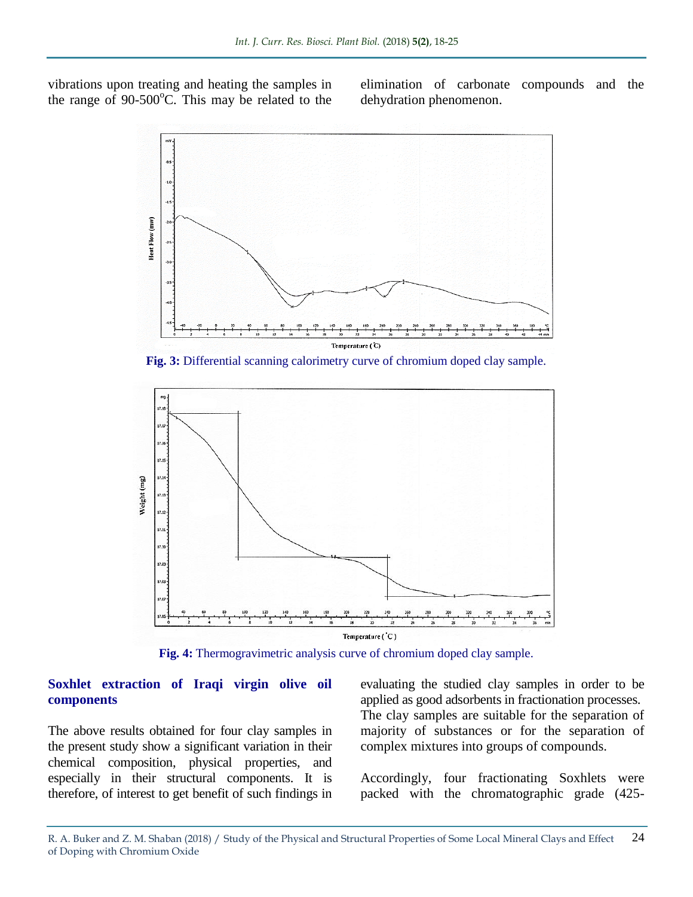vibrations upon treating and heating the samples in the range of  $90-500^{\circ}$ C. This may be related to the elimination of carbonate compounds and the dehydration phenomenon.



**Fig. 3:** Differential scanning calorimetry curve of chromium doped clay sample.



**Fig. 4:** Thermogravimetric analysis curve of chromium doped clay sample.

#### **Soxhlet extraction of Iraqi virgin olive oil components**

The above results obtained for four clay samples in the present study show a significant variation in their chemical composition, physical properties, and especially in their structural components. It is therefore, of interest to get benefit of such findings in

evaluating the studied clay samples in order to be applied as good adsorbents in fractionation processes. The clay samples are suitable for the separation of majority of substances or for the separation of complex mixtures into groups of compounds.

Accordingly, four fractionating Soxhlets were packed with the chromatographic grade (425-